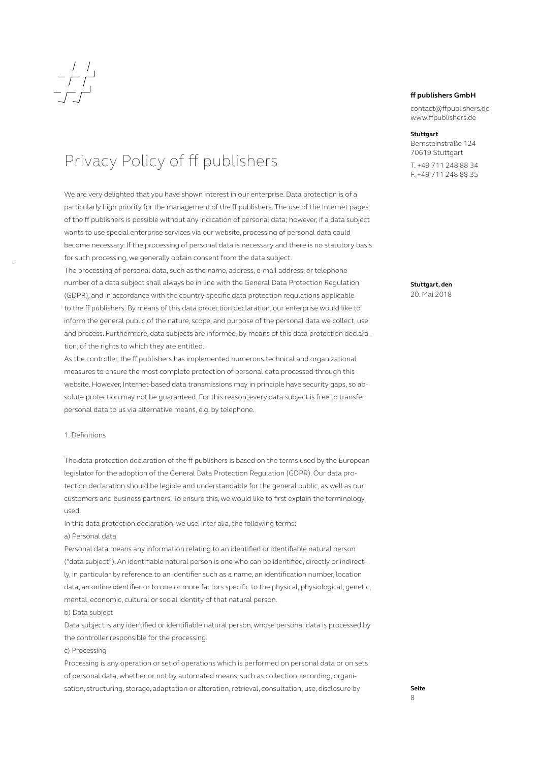

### Privacy Policy of ff publishers

We are very delighted that you have shown interest in our enterprise. Data protection is of a particularly high priority for the management of the ff publishers. The use of the Internet pages of the ff publishers is possible without any indication of personal data; however, if a data subject wants to use special enterprise services via our website, processing of personal data could become necessary. If the processing of personal data is necessary and there is no statutory basis for such processing, we generally obtain consent from the data subject.

The processing of personal data, such as the name, address, e-mail address, or telephone number of a data subject shall always be in line with the General Data Protection Regulation (GDPR), and in accordance with the country-specific data protection regulations applicable to the ff publishers. By means of this data protection declaration, our enterprise would like to inform the general public of the nature, scope, and purpose of the personal data we collect, use and process. Furthermore, data subjects are informed, by means of this data protection declaration, of the rights to which they are entitled.

As the controller, the ff publishers has implemented numerous technical and organizational measures to ensure the most complete protection of personal data processed through this website. However, Internet-based data transmissions may in principle have security gaps, so absolute protection may not be guaranteed. For this reason, every data subject is free to transfer personal data to us via alternative means, e.g. by telephone.

### 1. Definitions

The data protection declaration of the ff publishers is based on the terms used by the European legislator for the adoption of the General Data Protection Regulation (GDPR). Our data protection declaration should be legible and understandable for the general public, as well as our customers and business partners. To ensure this, we would like to first explain the terminology used.

In this data protection declaration, we use, inter alia, the following terms:

a) Personal data

Personal data means any information relating to an identified or identifiable natural person ("data subject"). An identifiable natural person is one who can be identified, directly or indirectly, in particular by reference to an identifier such as a name, an identification number, location data, an online identifier or to one or more factors specific to the physical, physiological, genetic, mental, economic, cultural or social identity of that natural person.

b) Data subject

Data subject is any identified or identifiable natural person, whose personal data is processed by the controller responsible for the processing.

### c) Processing

Processing is any operation or set of operations which is performed on personal data or on sets of personal data, whether or not by automated means, such as collection, recording, organisation, structuring, storage, adaptation or alteration, retrieval, consultation, use, disclosure by

### **ff publishers GmbH**

contact@ffpublishers.de www.ffpublishers.de

### **Stuttgart**

Bernsteinstraße 124 70619 Stuttgart

T. +49 711 248 88 34 F. +49 711 248 88 35

**Stuttgart, den** 20. Mai 2018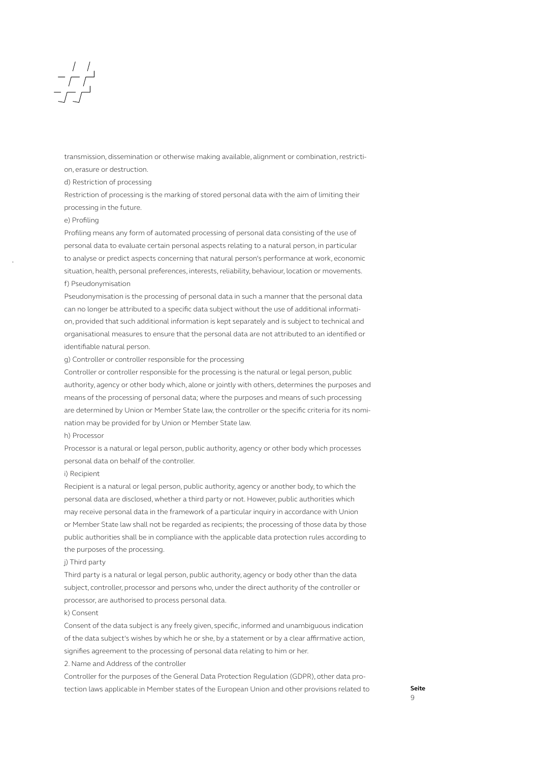transmission, dissemination or otherwise making available, alignment or combination, restricti-

on, erasure or destruction.

d) Restriction of processing

Restriction of processing is the marking of stored personal data with the aim of limiting their processing in the future.

### e) Profiling

Profiling means any form of automated processing of personal data consisting of the use of personal data to evaluate certain personal aspects relating to a natural person, in particular to analyse or predict aspects concerning that natural person's performance at work, economic situation, health, personal preferences, interests, reliability, behaviour, location or movements. f) Pseudonymisation

Pseudonymisation is the processing of personal data in such a manner that the personal data can no longer be attributed to a specific data subject without the use of additional information, provided that such additional information is kept separately and is subject to technical and organisational measures to ensure that the personal data are not attributed to an identified or identifiable natural person.

### g) Controller or controller responsible for the processing

Controller or controller responsible for the processing is the natural or legal person, public authority, agency or other body which, alone or jointly with others, determines the purposes and means of the processing of personal data; where the purposes and means of such processing are determined by Union or Member State law, the controller or the specific criteria for its nomination may be provided for by Union or Member State law.

### h) Processor

Processor is a natural or legal person, public authority, agency or other body which processes personal data on behalf of the controller.

### i) Recipient

Recipient is a natural or legal person, public authority, agency or another body, to which the personal data are disclosed, whether a third party or not. However, public authorities which may receive personal data in the framework of a particular inquiry in accordance with Union or Member State law shall not be regarded as recipients; the processing of those data by those public authorities shall be in compliance with the applicable data protection rules according to the purposes of the processing.

### i) Third party

Third party is a natural or legal person, public authority, agency or body other than the data subject, controller, processor and persons who, under the direct authority of the controller or processor, are authorised to process personal data.

### k) Consent

Consent of the data subject is any freely given, specific, informed and unambiguous indication of the data subject's wishes by which he or she, by a statement or by a clear affirmative action, signifies agreement to the processing of personal data relating to him or her.

2. Name and Address of the controller

Controller for the purposes of the General Data Protection Regulation (GDPR), other data protection laws applicable in Member states of the European Union and other provisions related to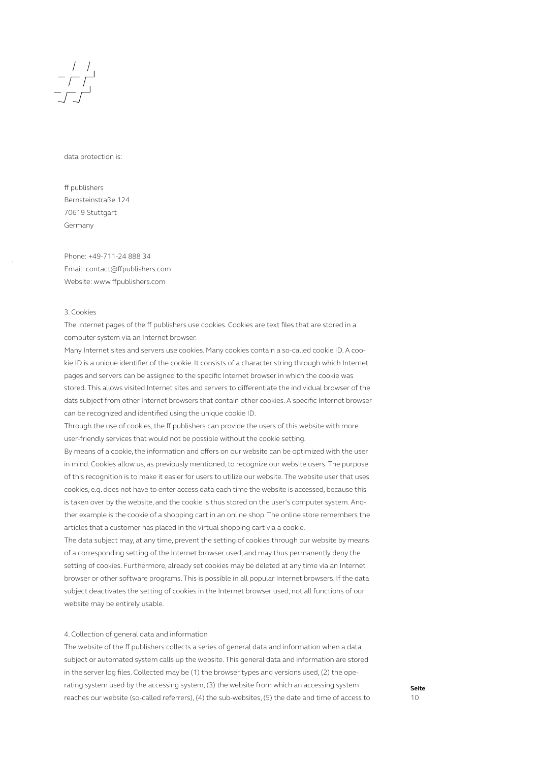

### data protection is:

ff publishers Bernsteinstraße 124 70619 Stuttgart Germany

Phone: +49-711-24 888 34 Email: contact@ffpublishers.com Website: www.ffpublishers.com

### 3. Cookies

The Internet pages of the ff publishers use cookies. Cookies are text files that are stored in a computer system via an Internet browser.

Many Internet sites and servers use cookies. Many cookies contain a so-called cookie ID. A cookie ID is a unique identifier of the cookie. It consists of a character string through which Internet pages and servers can be assigned to the specific Internet browser in which the cookie was stored. This allows visited Internet sites and servers to differentiate the individual browser of the dats subject from other Internet browsers that contain other cookies. A specific Internet browser can be recognized and identified using the unique cookie ID.

Through the use of cookies, the ff publishers can provide the users of this website with more user-friendly services that would not be possible without the cookie setting.

By means of a cookie, the information and offers on our website can be optimized with the user in mind. Cookies allow us, as previously mentioned, to recognize our website users. The purpose of this recognition is to make it easier for users to utilize our website. The website user that uses cookies, e.g. does not have to enter access data each time the website is accessed, because this is taken over by the website, and the cookie is thus stored on the user's computer system. Another example is the cookie of a shopping cart in an online shop. The online store remembers the articles that a customer has placed in the virtual shopping cart via a cookie.

The data subject may, at any time, prevent the setting of cookies through our website by means of a corresponding setting of the Internet browser used, and may thus permanently deny the setting of cookies. Furthermore, already set cookies may be deleted at any time via an Internet browser or other software programs. This is possible in all popular Internet browsers. If the data subject deactivates the setting of cookies in the Internet browser used, not all functions of our website may be entirely usable.

### 4. Collection of general data and information

The website of the ff publishers collects a series of general data and information when a data subject or automated system calls up the website. This general data and information are stored in the server log files. Collected may be (1) the browser types and versions used, (2) the operating system used by the accessing system, (3) the website from which an accessing system reaches our website (so-called referrers), (4) the sub-websites, (5) the date and time of access to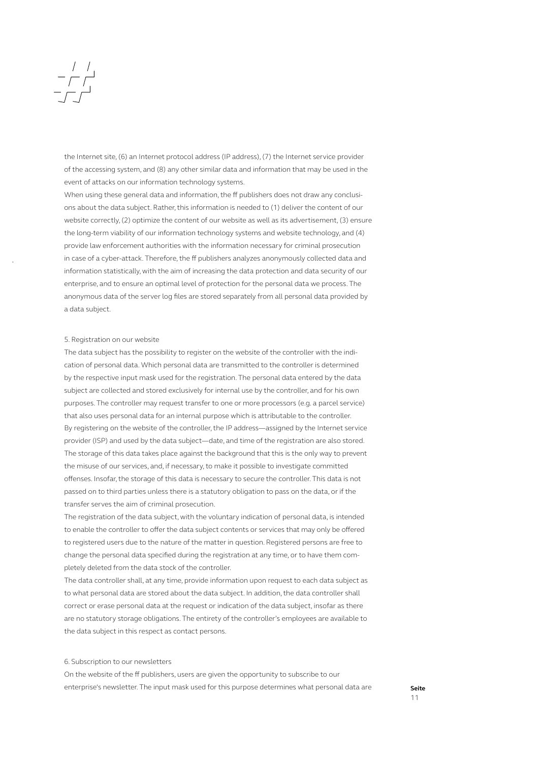### $\begin{array}{c|c} & / & / \\ \hline - & / & \end{array}$

the Internet site, (6) an Internet protocol address (IP address), (7) the Internet service provider of the accessing system, and (8) any other similar data and information that may be used in the event of attacks on our information technology systems.

When using these general data and information, the ff publishers does not draw any conclusions about the data subject. Rather, this information is needed to (1) deliver the content of our website correctly, (2) optimize the content of our website as well as its advertisement, (3) ensure the long-term viability of our information technology systems and website technology, and (4) provide law enforcement authorities with the information necessary for criminal prosecution in case of a cyber-attack. Therefore, the ff publishers analyzes anonymously collected data and information statistically, with the aim of increasing the data protection and data security of our enterprise, and to ensure an optimal level of protection for the personal data we process. The anonymous data of the server log files are stored separately from all personal data provided by a data subject.

### 5. Registration on our website

The data subject has the possibility to register on the website of the controller with the indication of personal data. Which personal data are transmitted to the controller is determined by the respective input mask used for the registration. The personal data entered by the data subject are collected and stored exclusively for internal use by the controller, and for his own purposes. The controller may request transfer to one or more processors (e.g. a parcel service) that also uses personal data for an internal purpose which is attributable to the controller. By registering on the website of the controller, the IP address—assigned by the Internet service provider (ISP) and used by the data subject—date, and time of the registration are also stored. The storage of this data takes place against the background that this is the only way to prevent the misuse of our services, and, if necessary, to make it possible to investigate committed offenses. Insofar, the storage of this data is necessary to secure the controller. This data is not passed on to third parties unless there is a statutory obligation to pass on the data, or if the transfer serves the aim of criminal prosecution.

The registration of the data subject, with the voluntary indication of personal data, is intended to enable the controller to offer the data subject contents or services that may only be offered to registered users due to the nature of the matter in question. Registered persons are free to change the personal data specified during the registration at any time, or to have them completely deleted from the data stock of the controller.

The data controller shall, at any time, provide information upon request to each data subject as to what personal data are stored about the data subject. In addition, the data controller shall correct or erase personal data at the request or indication of the data subject, insofar as there are no statutory storage obligations. The entirety of the controller's employees are available to the data subject in this respect as contact persons.

### 6. Subscription to our newsletters

On the website of the ff publishers, users are given the opportunity to subscribe to our enterprise's newsletter. The input mask used for this purpose determines what personal data are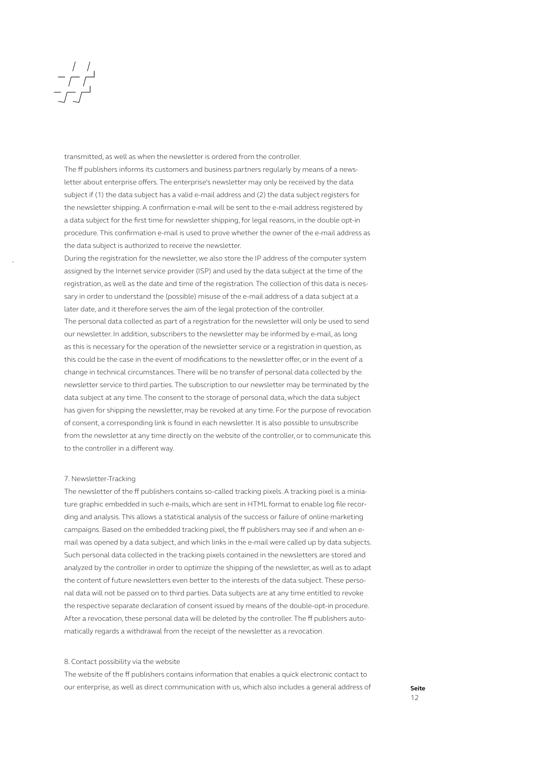## $\begin{array}{c|c} & / & / \\ \hline - & / & \end{array}$

transmitted, as well as when the newsletter is ordered from the controller. The ff publishers informs its customers and business partners regularly by means of a newsletter about enterprise offers. The enterprise's newsletter may only be received by the data subject if (1) the data subject has a valid e-mail address and (2) the data subject registers for the newsletter shipping. A confirmation e-mail will be sent to the e-mail address registered by a data subject for the first time for newsletter shipping, for legal reasons, in the double opt-in procedure. This confirmation e-mail is used to prove whether the owner of the e-mail address as the data subject is authorized to receive the newsletter.

During the registration for the newsletter, we also store the IP address of the computer system assigned by the Internet service provider (ISP) and used by the data subject at the time of the registration, as well as the date and time of the registration. The collection of this data is necessary in order to understand the (possible) misuse of the e-mail address of a data subject at a later date, and it therefore serves the aim of the legal protection of the controller. The personal data collected as part of a registration for the newsletter will only be used to send our newsletter. In addition, subscribers to the newsletter may be informed by e-mail, as long as this is necessary for the operation of the newsletter service or a registration in question, as this could be the case in the event of modifications to the newsletter offer, or in the event of a change in technical circumstances. There will be no transfer of personal data collected by the newsletter service to third parties. The subscription to our newsletter may be terminated by the data subject at any time. The consent to the storage of personal data, which the data subject has given for shipping the newsletter, may be revoked at any time. For the purpose of revocation of consent, a corresponding link is found in each newsletter. It is also possible to unsubscribe from the newsletter at any time directly on the website of the controller, or to communicate this to the controller in a different way.

### 7. Newsletter-Tracking

The newsletter of the ff publishers contains so-called tracking pixels. A tracking pixel is a miniature graphic embedded in such e-mails, which are sent in HTML format to enable log file recording and analysis. This allows a statistical analysis of the success or failure of online marketing campaigns. Based on the embedded tracking pixel, the ff publishers may see if and when an email was opened by a data subject, and which links in the e-mail were called up by data subjects. Such personal data collected in the tracking pixels contained in the newsletters are stored and analyzed by the controller in order to optimize the shipping of the newsletter, as well as to adapt the content of future newsletters even better to the interests of the data subject. These personal data will not be passed on to third parties. Data subjects are at any time entitled to revoke the respective separate declaration of consent issued by means of the double-opt-in procedure. After a revocation, these personal data will be deleted by the controller. The ff publishers automatically regards a withdrawal from the receipt of the newsletter as a revocation.

### 8. Contact possibility via the website

The website of the ff publishers contains information that enables a quick electronic contact to our enterprise, as well as direct communication with us, which also includes a general address of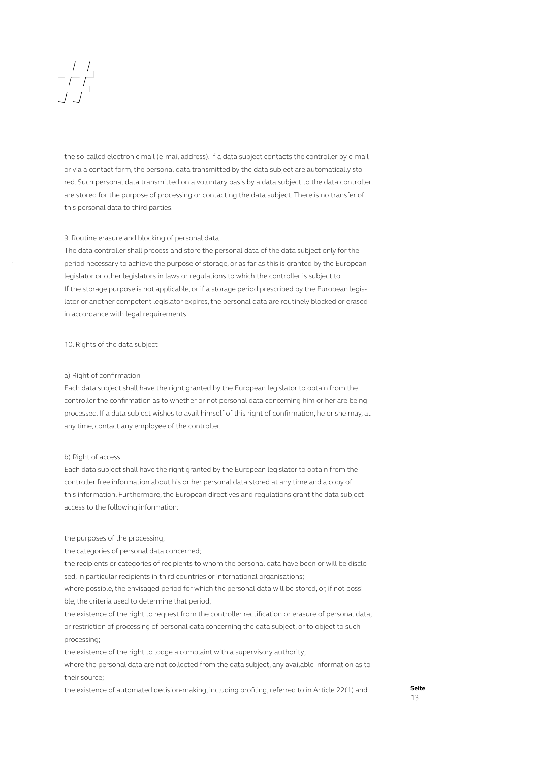the so-called electronic mail (e-mail address). If a data subject contacts the controller by e-mail or via a contact form, the personal data transmitted by the data subject are automatically stored. Such personal data transmitted on a voluntary basis by a data subject to the data controller are stored for the purpose of processing or contacting the data subject. There is no transfer of this personal data to third parties.

### 9. Routine erasure and blocking of personal data

The data controller shall process and store the personal data of the data subject only for the period necessary to achieve the purpose of storage, or as far as this is granted by the European legislator or other legislators in laws or regulations to which the controller is subject to. If the storage purpose is not applicable, or if a storage period prescribed by the European legislator or another competent legislator expires, the personal data are routinely blocked or erased in accordance with legal requirements.

### 10. Rights of the data subject

### a) Right of confirmation

Each data subject shall have the right granted by the European legislator to obtain from the controller the confirmation as to whether or not personal data concerning him or her are being processed. If a data subject wishes to avail himself of this right of confirmation, he or she may, at any time, contact any employee of the controller.

### b) Right of access

Each data subject shall have the right granted by the European legislator to obtain from the controller free information about his or her personal data stored at any time and a copy of this information. Furthermore, the European directives and regulations grant the data subject access to the following information:

the purposes of the processing;

the categories of personal data concerned;

the recipients or categories of recipients to whom the personal data have been or will be disclosed, in particular recipients in third countries or international organisations;

where possible, the envisaged period for which the personal data will be stored, or, if not possible, the criteria used to determine that period;

the existence of the right to request from the controller rectification or erasure of personal data, or restriction of processing of personal data concerning the data subject, or to object to such processing;

the existence of the right to lodge a complaint with a supervisory authority;

where the personal data are not collected from the data subject, any available information as to their source;

the existence of automated decision-making, including profiling, referred to in Article 22(1) and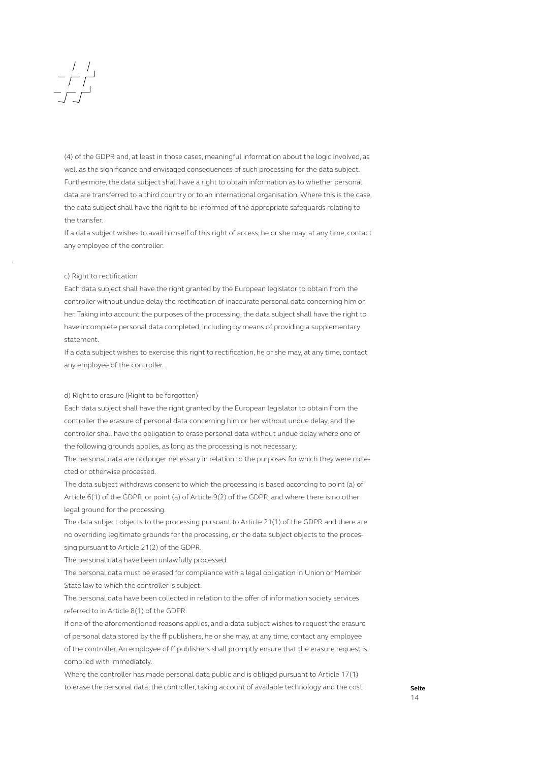(4) of the GDPR and, at least in those cases, meaningful information about the logic involved, as well as the significance and envisaged consequences of such processing for the data subject. Furthermore, the data subject shall have a right to obtain information as to whether personal data are transferred to a third country or to an international organisation. Where this is the case, the data subject shall have the right to be informed of the appropriate safeguards relating to the transfer.

If a data subject wishes to avail himself of this right of access, he or she may, at any time, contact any employee of the controller.

### c) Right to rectification

Each data subject shall have the right granted by the European legislator to obtain from the controller without undue delay the rectification of inaccurate personal data concerning him or her. Taking into account the purposes of the processing, the data subject shall have the right to have incomplete personal data completed, including by means of providing a supplementary statement.

If a data subject wishes to exercise this right to rectification, he or she may, at any time, contact any employee of the controller.

### d) Right to erasure (Right to be forgotten)

Each data subject shall have the right granted by the European legislator to obtain from the controller the erasure of personal data concerning him or her without undue delay, and the controller shall have the obligation to erase personal data without undue delay where one of the following grounds applies, as long as the processing is not necessary:

The personal data are no longer necessary in relation to the purposes for which they were collected or otherwise processed.

The data subject withdraws consent to which the processing is based according to point (a) of Article 6(1) of the GDPR, or point (a) of Article 9(2) of the GDPR, and where there is no other legal ground for the processing.

The data subject objects to the processing pursuant to Article 21(1) of the GDPR and there are no overriding legitimate grounds for the processing, or the data subject objects to the processing pursuant to Article 21(2) of the GDPR.

The personal data have been unlawfully processed.

The personal data must be erased for compliance with a legal obligation in Union or Member State law to which the controller is subject.

The personal data have been collected in relation to the offer of information society services referred to in Article 8(1) of the GDPR.

If one of the aforementioned reasons applies, and a data subject wishes to request the erasure of personal data stored by the ff publishers, he or she may, at any time, contact any employee of the controller. An employee of ff publishers shall promptly ensure that the erasure request is complied with immediately.

Where the controller has made personal data public and is obliged pursuant to Article 17(1) to erase the personal data, the controller, taking account of available technology and the cost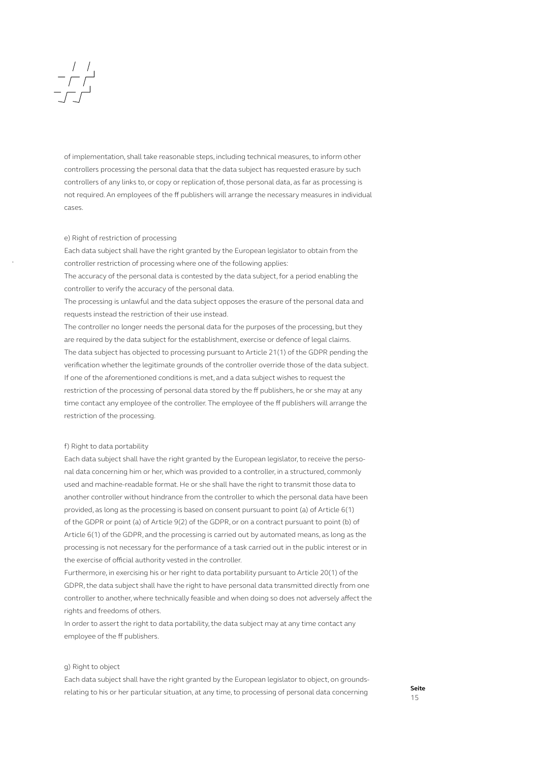### $\begin{array}{c|c} & / & / \\ \hline & / & \\ \hline & - & / \\ \end{array}$

of implementation, shall take reasonable steps, including technical measures, to inform other controllers processing the personal data that the data subject has requested erasure by such controllers of any links to, or copy or replication of, those personal data, as far as processing is not required. An employees of the ff publishers will arrange the necessary measures in individual cases.

### e) Right of restriction of processing

Each data subject shall have the right granted by the European legislator to obtain from the controller restriction of processing where one of the following applies:

The accuracy of the personal data is contested by the data subject, for a period enabling the controller to verify the accuracy of the personal data.

The processing is unlawful and the data subject opposes the erasure of the personal data and requests instead the restriction of their use instead.

The controller no longer needs the personal data for the purposes of the processing, but they are required by the data subject for the establishment, exercise or defence of legal claims. The data subject has objected to processing pursuant to Article 21(1) of the GDPR pending the verification whether the legitimate grounds of the controller override those of the data subject. If one of the aforementioned conditions is met, and a data subject wishes to request the restriction of the processing of personal data stored by the ff publishers, he or she may at any time contact any employee of the controller. The employee of the ff publishers will arrange the restriction of the processing.

### f) Right to data portability

Each data subject shall have the right granted by the European legislator, to receive the personal data concerning him or her, which was provided to a controller, in a structured, commonly used and machine-readable format. He or she shall have the right to transmit those data to another controller without hindrance from the controller to which the personal data have been provided, as long as the processing is based on consent pursuant to point (a) of Article 6(1) of the GDPR or point (a) of Article 9(2) of the GDPR, or on a contract pursuant to point (b) of Article 6(1) of the GDPR, and the processing is carried out by automated means, as long as the processing is not necessary for the performance of a task carried out in the public interest or in the exercise of official authority vested in the controller.

Furthermore, in exercising his or her right to data portability pursuant to Article 20(1) of the GDPR, the data subject shall have the right to have personal data transmitted directly from one controller to another, where technically feasible and when doing so does not adversely affect the rights and freedoms of others.

In order to assert the right to data portability, the data subject may at any time contact any employee of the ff publishers.

### g) Right to object

Each data subject shall have the right granted by the European legislator to object, on groundsrelating to his or her particular situation, at any time, to processing of personal data concerning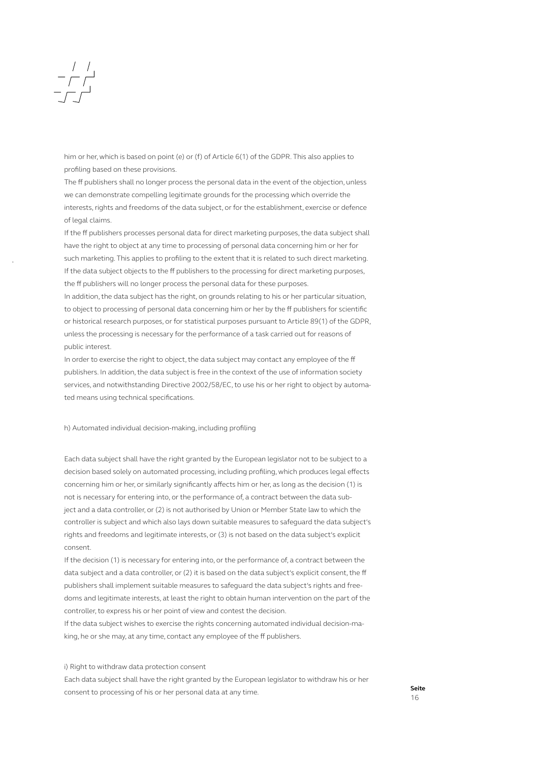him or her, which is based on point (e) or (f) of Article 6(1) of the GDPR. This also applies to profiling based on these provisions.

The ff publishers shall no longer process the personal data in the event of the objection, unless we can demonstrate compelling legitimate grounds for the processing which override the interests, rights and freedoms of the data subject, or for the establishment, exercise or defence of legal claims.

If the ff publishers processes personal data for direct marketing purposes, the data subject shall have the right to object at any time to processing of personal data concerning him or her for such marketing. This applies to profiling to the extent that it is related to such direct marketing. If the data subject objects to the ff publishers to the processing for direct marketing purposes, the ff publishers will no longer process the personal data for these purposes.

In addition, the data subject has the right, on grounds relating to his or her particular situation, to object to processing of personal data concerning him or her by the ff publishers for scientific or historical research purposes, or for statistical purposes pursuant to Article 89(1) of the GDPR, unless the processing is necessary for the performance of a task carried out for reasons of public interest.

In order to exercise the right to object, the data subject may contact any employee of the ff publishers. In addition, the data subject is free in the context of the use of information society services, and notwithstanding Directive 2002/58/EC, to use his or her right to object by automated means using technical specifications.

h) Automated individual decision-making, including profiling

Each data subject shall have the right granted by the European legislator not to be subject to a decision based solely on automated processing, including profiling, which produces legal effects concerning him or her, or similarly significantly affects him or her, as long as the decision (1) is not is necessary for entering into, or the performance of, a contract between the data subject and a data controller, or (2) is not authorised by Union or Member State law to which the controller is subject and which also lays down suitable measures to safeguard the data subject's rights and freedoms and legitimate interests, or (3) is not based on the data subject's explicit consent.

If the decision (1) is necessary for entering into, or the performance of, a contract between the data subject and a data controller, or (2) it is based on the data subject's explicit consent, the ff publishers shall implement suitable measures to safeguard the data subject's rights and freedoms and legitimate interests, at least the right to obtain human intervention on the part of the controller, to express his or her point of view and contest the decision.

If the data subject wishes to exercise the rights concerning automated individual decision-making, he or she may, at any time, contact any employee of the ff publishers.

i) Right to withdraw data protection consent

Each data subject shall have the right granted by the European legislator to withdraw his or her consent to processing of his or her personal data at any time.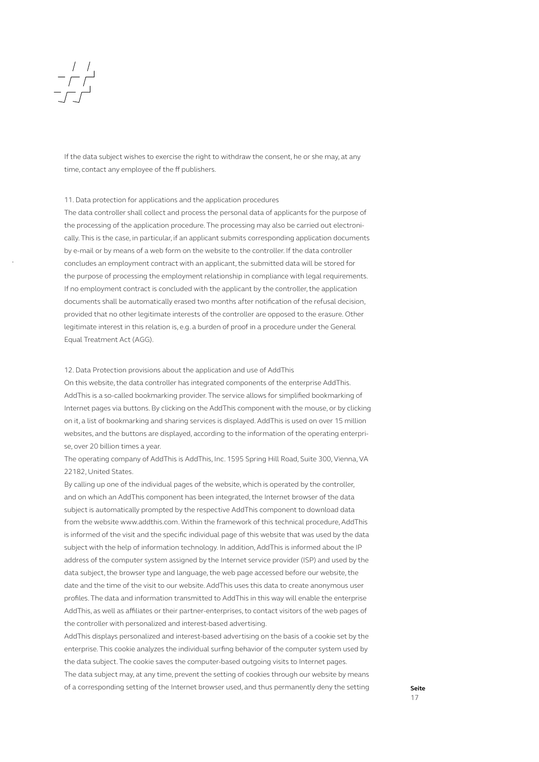If the data subject wishes to exercise the right to withdraw the consent, he or she may, at any time, contact any employee of the ff publishers.

### 11. Data protection for applications and the application procedures

The data controller shall collect and process the personal data of applicants for the purpose of the processing of the application procedure. The processing may also be carried out electronically. This is the case, in particular, if an applicant submits corresponding application documents by e-mail or by means of a web form on the website to the controller. If the data controller concludes an employment contract with an applicant, the submitted data will be stored for the purpose of processing the employment relationship in compliance with legal requirements. If no employment contract is concluded with the applicant by the controller, the application documents shall be automatically erased two months after notification of the refusal decision, provided that no other legitimate interests of the controller are opposed to the erasure. Other legitimate interest in this relation is, e.g. a burden of proof in a procedure under the General Equal Treatment Act (AGG).

### 12. Data Protection provisions about the application and use of AddThis

On this website, the data controller has integrated components of the enterprise AddThis. AddThis is a so-called bookmarking provider. The service allows for simplified bookmarking of Internet pages via buttons. By clicking on the AddThis component with the mouse, or by clicking on it, a list of bookmarking and sharing services is displayed. AddThis is used on over 15 million websites, and the buttons are displayed, according to the information of the operating enterprise, over 20 billion times a year.

The operating company of AddThis is AddThis, Inc. 1595 Spring Hill Road, Suite 300, Vienna, VA 22182, United States.

By calling up one of the individual pages of the website, which is operated by the controller, and on which an AddThis component has been integrated, the Internet browser of the data subject is automatically prompted by the respective AddThis component to download data from the website www.addthis.com. Within the framework of this technical procedure, AddThis is informed of the visit and the specific individual page of this website that was used by the data subject with the help of information technology. In addition, AddThis is informed about the IP address of the computer system assigned by the Internet service provider (ISP) and used by the data subject, the browser type and language, the web page accessed before our website, the date and the time of the visit to our website. AddThis uses this data to create anonymous user profiles. The data and information transmitted to AddThis in this way will enable the enterprise AddThis, as well as affiliates or their partner-enterprises, to contact visitors of the web pages of the controller with personalized and interest-based advertising.

AddThis displays personalized and interest-based advertising on the basis of a cookie set by the enterprise. This cookie analyzes the individual surfing behavior of the computer system used by the data subject. The cookie saves the computer-based outgoing visits to Internet pages.

The data subject may, at any time, prevent the setting of cookies through our website by means of a corresponding setting of the Internet browser used, and thus permanently deny the setting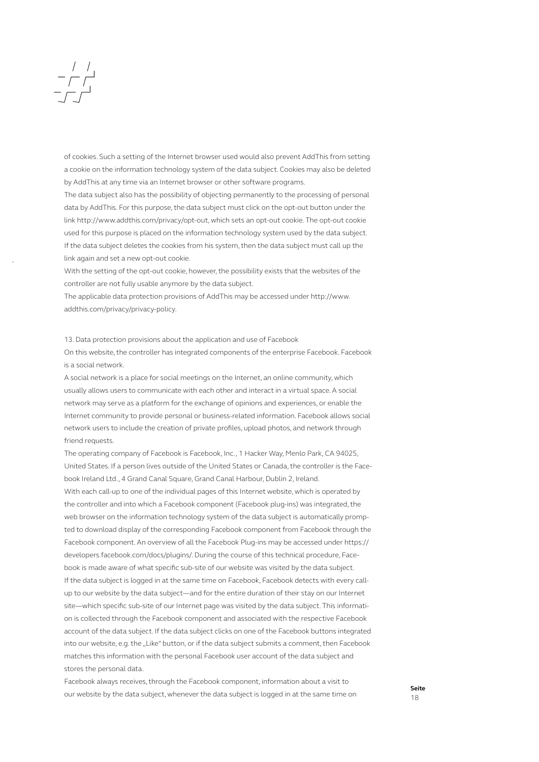### $\begin{array}{c|c} & / & / \\ \hline - & / & \end{array}$

of cookies. Such a setting of the Internet browser used would also prevent AddThis from setting a cookie on the information technology system of the data subject. Cookies may also be deleted by AddThis at any time via an Internet browser or other software programs.

The data subject also has the possibility of objecting permanently to the processing of personal data by AddThis. For this purpose, the data subject must click on the opt-out button under the link http://www.addthis.com/privacy/opt-out, which sets an opt-out cookie. The opt-out cookie used for this purpose is placed on the information technology system used by the data subject. If the data subject deletes the cookies from his system, then the data subject must call up the link again and set a new opt-out cookie.

With the setting of the opt-out cookie, however, the possibility exists that the websites of the controller are not fully usable anymore by the data subject.

The applicable data protection provisions of AddThis may be accessed under http://www. addthis.com/privacy/privacy-policy.

13. Data protection provisions about the application and use of Facebook

On this website, the controller has integrated components of the enterprise Facebook. Facebook is a social network.

A social network is a place for social meetings on the Internet, an online community, which usually allows users to communicate with each other and interact in a virtual space. A social network may serve as a platform for the exchange of opinions and experiences, or enable the Internet community to provide personal or business-related information. Facebook allows social network users to include the creation of private profiles, upload photos, and network through friend requests.

The operating company of Facebook is Facebook, Inc., 1 Hacker Way, Menlo Park, CA 94025, United States. If a person lives outside of the United States or Canada, the controller is the Facebook Ireland Ltd., 4 Grand Canal Square, Grand Canal Harbour, Dublin 2, Ireland.

With each call-up to one of the individual pages of this Internet website, which is operated by the controller and into which a Facebook component (Facebook plug-ins) was integrated, the web browser on the information technology system of the data subject is automatically prompted to download display of the corresponding Facebook component from Facebook through the Facebook component. An overview of all the Facebook Plug-ins may be accessed under https:// developers.facebook.com/docs/plugins/. During the course of this technical procedure, Facebook is made aware of what specific sub-site of our website was visited by the data subject. If the data subject is logged in at the same time on Facebook, Facebook detects with every callup to our website by the data subject—and for the entire duration of their stay on our Internet site—which specific sub-site of our Internet page was visited by the data subject. This information is collected through the Facebook component and associated with the respective Facebook account of the data subject. If the data subject clicks on one of the Facebook buttons integrated into our website, e.g. the "Like" button, or if the data subject submits a comment, then Facebook matches this information with the personal Facebook user account of the data subject and stores the personal data.

Facebook always receives, through the Facebook component, information about a visit to our website by the data subject, whenever the data subject is logged in at the same time on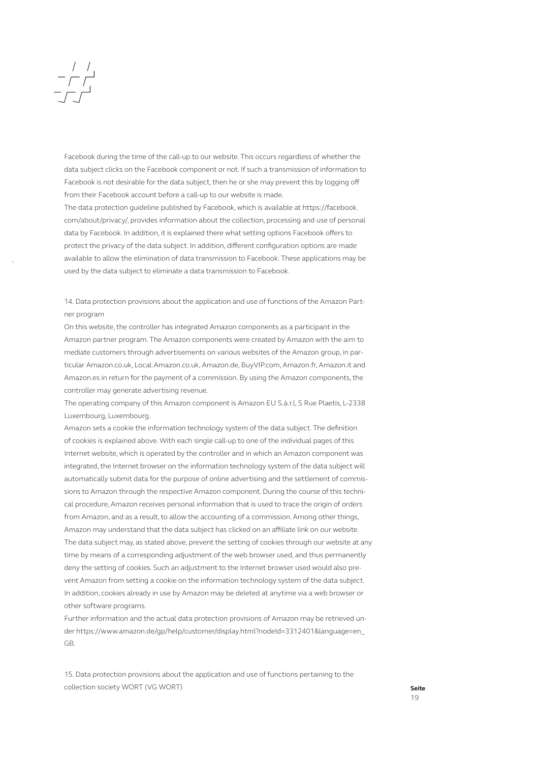### $\begin{array}{c|c} & / & / \\ \hline & / & \\ \hline & - & / \\ \end{array}$

Facebook during the time of the call-up to our website. This occurs regardless of whether the data subject clicks on the Facebook component or not. If such a transmission of information to Facebook is not desirable for the data subject, then he or she may prevent this by logging off from their Facebook account before a call-up to our website is made.

The data protection guideline published by Facebook, which is available at https://facebook. com/about/privacy/, provides information about the collection, processing and use of personal data by Facebook. In addition, it is explained there what setting options Facebook offers to protect the privacy of the data subject. In addition, different configuration options are made available to allow the elimination of data transmission to Facebook. These applications may be used by the data subject to eliminate a data transmission to Facebook.

14. Data protection provisions about the application and use of functions of the Amazon Partner program

On this website, the controller has integrated Amazon components as a participant in the Amazon partner program. The Amazon components were created by Amazon with the aim to mediate customers through advertisements on various websites of the Amazon group, in particular Amazon.co.uk, Local.Amazon.co.uk, Amazon.de, BuyVIP.com, Amazon.fr, Amazon.it and Amazon.es in return for the payment of a commission. By using the Amazon components, the controller may generate advertising revenue.

The operating company of this Amazon component is Amazon EU S.à.r.l, 5 Rue Plaetis, L-2338 Luxembourg, Luxembourg.

Amazon sets a cookie the information technology system of the data subject. The definition of cookies is explained above. With each single call-up to one of the individual pages of this Internet website, which is operated by the controller and in which an Amazon component was integrated, the Internet browser on the information technology system of the data subject will automatically submit data for the purpose of online advertising and the settlement of commissions to Amazon through the respective Amazon component. During the course of this technical procedure, Amazon receives personal information that is used to trace the origin of orders from Amazon, and as a result, to allow the accounting of a commission. Among other things, Amazon may understand that the data subject has clicked on an affiliate link on our website. The data subject may, as stated above, prevent the setting of cookies through our website at any time by means of a corresponding adjustment of the web browser used, and thus permanently deny the setting of cookies. Such an adjustment to the Internet browser used would also prevent Amazon from setting a cookie on the information technology system of the data subject. In addition, cookies already in use by Amazon may be deleted at anytime via a web browser or other software programs.

Further information and the actual data protection provisions of Amazon may be retrieved under https://www.amazon.de/gp/help/customer/display.html?nodeId=3312401&language=en\_ GB.

15. Data protection provisions about the application and use of functions pertaining to the collection society WORT (VG WORT)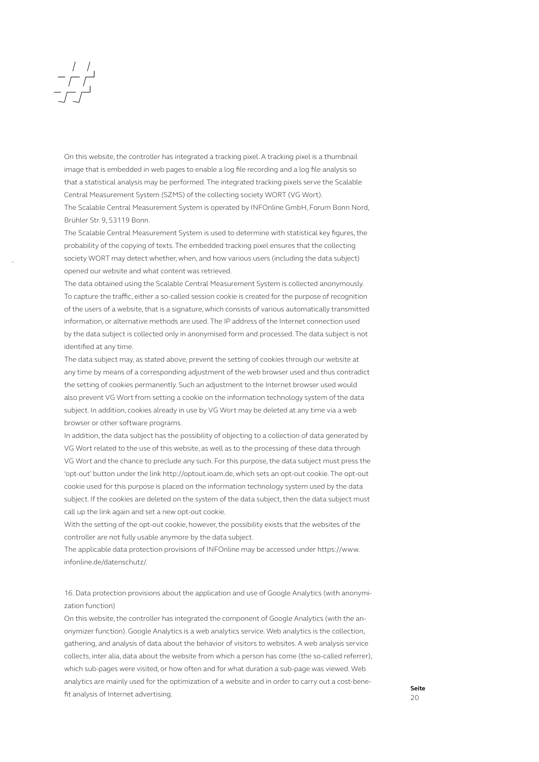## $\begin{array}{c|c} & / & / \\ \hline & / & / \\ \hline & / & \end{array}$

Brühler Str. 9, 53119 Bonn.

On this website, the controller has integrated a tracking pixel. A tracking pixel is a thumbnail image that is embedded in web pages to enable a log file recording and a log file analysis so that a statistical analysis may be performed. The integrated tracking pixels serve the Scalable Central Measurement System (SZMS) of the collecting society WORT (VG Wort). The Scalable Central Measurement System is operated by INFOnline GmbH, Forum Bonn Nord,

The Scalable Central Measurement System is used to determine with statistical key figures, the probability of the copying of texts. The embedded tracking pixel ensures that the collecting society WORT may detect whether, when, and how various users (including the data subject) opened our website and what content was retrieved.

The data obtained using the Scalable Central Measurement System is collected anonymously. To capture the traffic, either a so-called session cookie is created for the purpose of recognition of the users of a website, that is a signature, which consists of various automatically transmitted information, or alternative methods are used. The IP address of the Internet connection used by the data subject is collected only in anonymised form and processed. The data subject is not identified at any time.

The data subject may, as stated above, prevent the setting of cookies through our website at any time by means of a corresponding adjustment of the web browser used and thus contradict the setting of cookies permanently. Such an adjustment to the Internet browser used would also prevent VG Wort from setting a cookie on the information technology system of the data subject. In addition, cookies already in use by VG Wort may be deleted at any time via a web browser or other software programs.

In addition, the data subject has the possibility of objecting to a collection of data generated by VG Wort related to the use of this website, as well as to the processing of these data through VG Wort and the chance to preclude any such. For this purpose, the data subject must press the 'opt-out' button under the link http://optout.ioam.de, which sets an opt-out cookie. The opt-out cookie used for this purpose is placed on the information technology system used by the data subject. If the cookies are deleted on the system of the data subject, then the data subject must call up the link again and set a new opt-out cookie.

With the setting of the opt-out cookie, however, the possibility exists that the websites of the controller are not fully usable anymore by the data subject.

The applicable data protection provisions of INFOnline may be accessed under https://www. infonline.de/datenschutz/.

16. Data protection provisions about the application and use of Google Analytics (with anonymization function)

On this website, the controller has integrated the component of Google Analytics (with the anonymizer function). Google Analytics is a web analytics service. Web analytics is the collection, gathering, and analysis of data about the behavior of visitors to websites. A web analysis service collects, inter alia, data about the website from which a person has come (the so-called referrer), which sub-pages were visited, or how often and for what duration a sub-page was viewed. Web analytics are mainly used for the optimization of a website and in order to carry out a cost-benefit analysis of Internet advertising.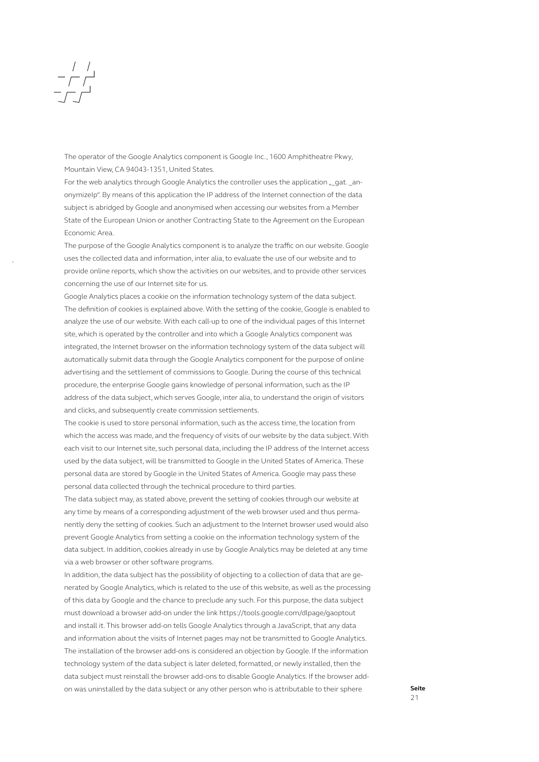# $\begin{array}{c|c} & / & / \\ - & / & / \\ - & / & / \end{array}$

The operator of the Google Analytics component is Google Inc., 1600 Amphitheatre Pkwy, Mountain View, CA 94043-1351, United States.

For the web analytics through Google Analytics the controller uses the application "\_gat. \_anonymizeIp". By means of this application the IP address of the Internet connection of the data subject is abridged by Google and anonymised when accessing our websites from a Member State of the European Union or another Contracting State to the Agreement on the European Economic Area.

The purpose of the Google Analytics component is to analyze the traffic on our website. Google uses the collected data and information, inter alia, to evaluate the use of our website and to provide online reports, which show the activities on our websites, and to provide other services concerning the use of our Internet site for us.

Google Analytics places a cookie on the information technology system of the data subject. The definition of cookies is explained above. With the setting of the cookie, Google is enabled to analyze the use of our website. With each call-up to one of the individual pages of this Internet site, which is operated by the controller and into which a Google Analytics component was integrated, the Internet browser on the information technology system of the data subject will automatically submit data through the Google Analytics component for the purpose of online advertising and the settlement of commissions to Google. During the course of this technical procedure, the enterprise Google gains knowledge of personal information, such as the IP address of the data subject, which serves Google, inter alia, to understand the origin of visitors and clicks, and subsequently create commission settlements.

The cookie is used to store personal information, such as the access time, the location from which the access was made, and the frequency of visits of our website by the data subject. With each visit to our Internet site, such personal data, including the IP address of the Internet access used by the data subject, will be transmitted to Google in the United States of America. These personal data are stored by Google in the United States of America. Google may pass these personal data collected through the technical procedure to third parties.

The data subject may, as stated above, prevent the setting of cookies through our website at any time by means of a corresponding adjustment of the web browser used and thus permanently deny the setting of cookies. Such an adjustment to the Internet browser used would also prevent Google Analytics from setting a cookie on the information technology system of the data subject. In addition, cookies already in use by Google Analytics may be deleted at any time via a web browser or other software programs.

In addition, the data subject has the possibility of objecting to a collection of data that are generated by Google Analytics, which is related to the use of this website, as well as the processing of this data by Google and the chance to preclude any such. For this purpose, the data subject must download a browser add-on under the link https://tools.google.com/dlpage/gaoptout and install it. This browser add-on tells Google Analytics through a JavaScript, that any data and information about the visits of Internet pages may not be transmitted to Google Analytics. The installation of the browser add-ons is considered an objection by Google. If the information technology system of the data subject is later deleted, formatted, or newly installed, then the data subject must reinstall the browser add-ons to disable Google Analytics. If the browser addon was uninstalled by the data subject or any other person who is attributable to their sphere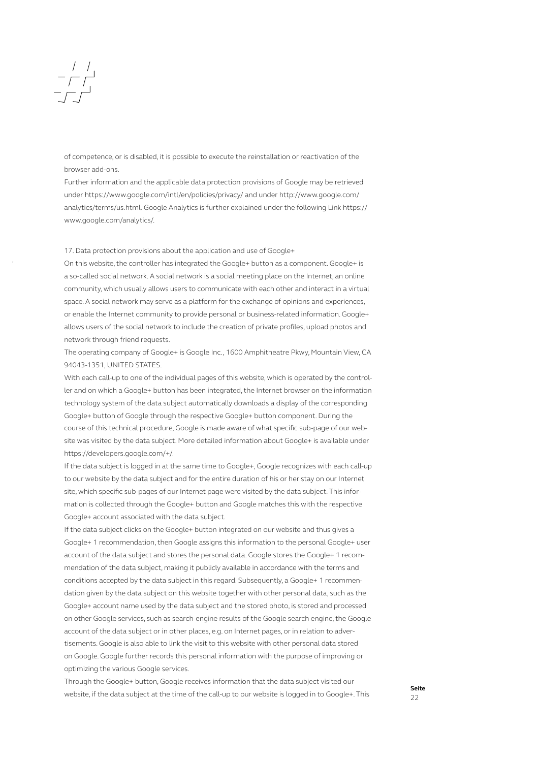### $\begin{array}{c|c} & / & / \\ \hline - & / \\ \hline \end{array}$

of competence, or is disabled, it is possible to execute the reinstallation or reactivation of the browser add-ons.

Further information and the applicable data protection provisions of Google may be retrieved under https://www.google.com/intl/en/policies/privacy/ and under http://www.google.com/ analytics/terms/us.html. Google Analytics is further explained under the following Link https:// www.google.com/analytics/.

17. Data protection provisions about the application and use of Google+

On this website, the controller has integrated the Google+ button as a component. Google+ is a so-called social network. A social network is a social meeting place on the Internet, an online community, which usually allows users to communicate with each other and interact in a virtual space. A social network may serve as a platform for the exchange of opinions and experiences, or enable the Internet community to provide personal or business-related information. Google+ allows users of the social network to include the creation of private profiles, upload photos and network through friend requests.

The operating company of Google+ is Google Inc., 1600 Amphitheatre Pkwy, Mountain View, CA 94043-1351, UNITED STATES.

With each call-up to one of the individual pages of this website, which is operated by the controller and on which a Google+ button has been integrated, the Internet browser on the information technology system of the data subject automatically downloads a display of the corresponding Google+ button of Google through the respective Google+ button component. During the course of this technical procedure, Google is made aware of what specific sub-page of our website was visited by the data subject. More detailed information about Google+ is available under https://developers.google.com/+/.

If the data subject is logged in at the same time to Google+, Google recognizes with each call-up to our website by the data subject and for the entire duration of his or her stay on our Internet site, which specific sub-pages of our Internet page were visited by the data subject. This information is collected through the Google+ button and Google matches this with the respective Google+ account associated with the data subject.

If the data subject clicks on the Google+ button integrated on our website and thus gives a Google+ 1 recommendation, then Google assigns this information to the personal Google+ user account of the data subject and stores the personal data. Google stores the Google+ 1 recommendation of the data subject, making it publicly available in accordance with the terms and conditions accepted by the data subject in this regard. Subsequently, a Google+ 1 recommendation given by the data subject on this website together with other personal data, such as the Google+ account name used by the data subject and the stored photo, is stored and processed on other Google services, such as search-engine results of the Google search engine, the Google account of the data subject or in other places, e.g. on Internet pages, or in relation to advertisements. Google is also able to link the visit to this website with other personal data stored on Google. Google further records this personal information with the purpose of improving or optimizing the various Google services.

Through the Google+ button, Google receives information that the data subject visited our website, if the data subject at the time of the call-up to our website is logged in to Google+. This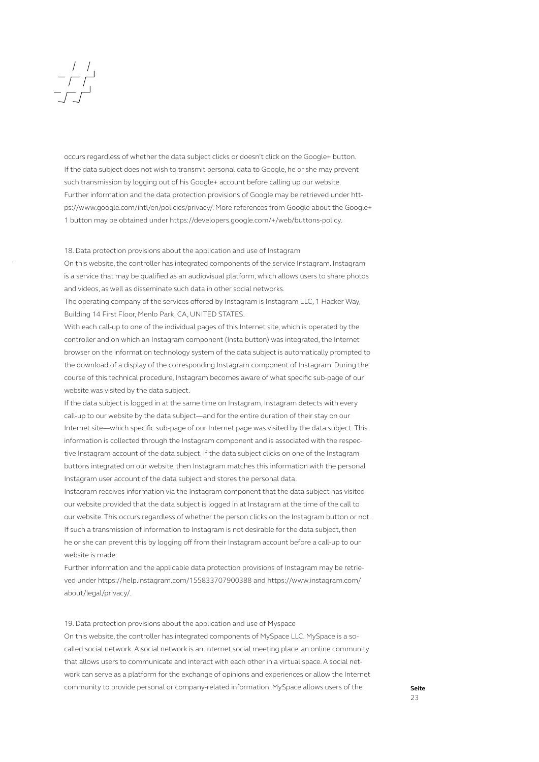### $\begin{array}{c|c} & / & / \\ \hline - & / \\ \hline \end{array}$

occurs regardless of whether the data subject clicks or doesn't click on the Google+ button. If the data subject does not wish to transmit personal data to Google, he or she may prevent such transmission by logging out of his Google+ account before calling up our website. Further information and the data protection provisions of Google may be retrieved under https://www.google.com/intl/en/policies/privacy/. More references from Google about the Google+ 1 button may be obtained under https://developers.google.com/+/web/buttons-policy.

18. Data protection provisions about the application and use of Instagram

On this website, the controller has integrated components of the service Instagram. Instagram is a service that may be qualified as an audiovisual platform, which allows users to share photos and videos, as well as disseminate such data in other social networks.

The operating company of the services offered by Instagram is Instagram LLC, 1 Hacker Way, Building 14 First Floor, Menlo Park, CA, UNITED STATES.

With each call-up to one of the individual pages of this Internet site, which is operated by the controller and on which an Instagram component (Insta button) was integrated, the Internet browser on the information technology system of the data subject is automatically prompted to the download of a display of the corresponding Instagram component of Instagram. During the course of this technical procedure, Instagram becomes aware of what specific sub-page of our website was visited by the data subject.

If the data subject is logged in at the same time on Instagram, Instagram detects with every call-up to our website by the data subject—and for the entire duration of their stay on our Internet site—which specific sub-page of our Internet page was visited by the data subject. This information is collected through the Instagram component and is associated with the respective Instagram account of the data subject. If the data subject clicks on one of the Instagram buttons integrated on our website, then Instagram matches this information with the personal Instagram user account of the data subject and stores the personal data.

Instagram receives information via the Instagram component that the data subject has visited our website provided that the data subject is logged in at Instagram at the time of the call to our website. This occurs regardless of whether the person clicks on the Instagram button or not. If such a transmission of information to Instagram is not desirable for the data subject, then he or she can prevent this by logging off from their Instagram account before a call-up to our website is made.

Further information and the applicable data protection provisions of Instagram may be retrieved under https://help.instagram.com/155833707900388 and https://www.instagram.com/ about/legal/privacy/.

19. Data protection provisions about the application and use of Myspace

On this website, the controller has integrated components of MySpace LLC. MySpace is a socalled social network. A social network is an Internet social meeting place, an online community that allows users to communicate and interact with each other in a virtual space. A social network can serve as a platform for the exchange of opinions and experiences or allow the Internet community to provide personal or company-related information. MySpace allows users of the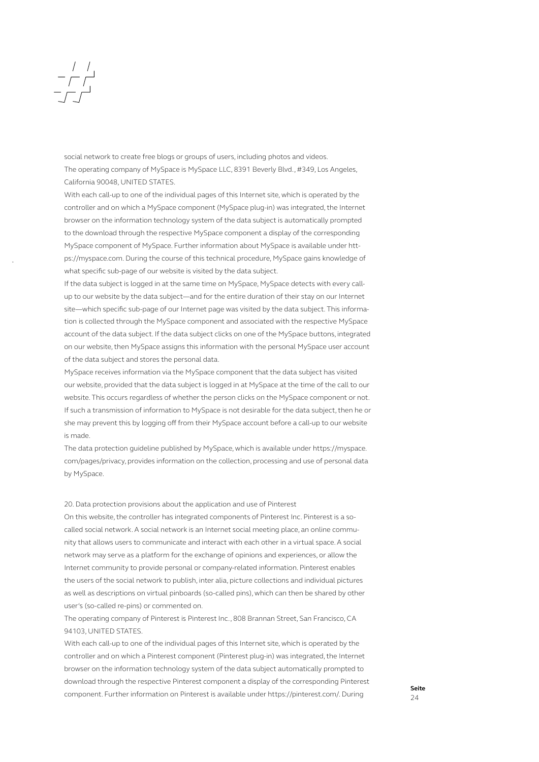### $\begin{array}{c|c} & / & / \\ \hline & - & / \\ \hline & - & / \end{array}$

social network to create free blogs or groups of users, including photos and videos. The operating company of MySpace is MySpace LLC, 8391 Beverly Blvd., #349, Los Angeles, California 90048, UNITED STATES.

With each call-up to one of the individual pages of this Internet site, which is operated by the controller and on which a MySpace component (MySpace plug-in) was integrated, the Internet browser on the information technology system of the data subject is automatically prompted to the download through the respective MySpace component a display of the corresponding MySpace component of MySpace. Further information about MySpace is available under https://myspace.com. During the course of this technical procedure, MySpace gains knowledge of what specific sub-page of our website is visited by the data subject.

If the data subject is logged in at the same time on MySpace, MySpace detects with every callup to our website by the data subject—and for the entire duration of their stay on our Internet site—which specific sub-page of our Internet page was visited by the data subject. This information is collected through the MySpace component and associated with the respective MySpace account of the data subject. If the data subject clicks on one of the MySpace buttons, integrated on our website, then MySpace assigns this information with the personal MySpace user account of the data subject and stores the personal data.

MySpace receives information via the MySpace component that the data subject has visited our website, provided that the data subject is logged in at MySpace at the time of the call to our website. This occurs regardless of whether the person clicks on the MySpace component or not. If such a transmission of information to MySpace is not desirable for the data subject, then he or she may prevent this by logging off from their MySpace account before a call-up to our website is made.

The data protection guideline published by MySpace, which is available under https://myspace. com/pages/privacy, provides information on the collection, processing and use of personal data by MySpace.

### 20. Data protection provisions about the application and use of Pinterest

On this website, the controller has integrated components of Pinterest Inc. Pinterest is a socalled social network. A social network is an Internet social meeting place, an online community that allows users to communicate and interact with each other in a virtual space. A social network may serve as a platform for the exchange of opinions and experiences, or allow the Internet community to provide personal or company-related information. Pinterest enables the users of the social network to publish, inter alia, picture collections and individual pictures as well as descriptions on virtual pinboards (so-called pins), which can then be shared by other user's (so-called re-pins) or commented on.

The operating company of Pinterest is Pinterest Inc., 808 Brannan Street, San Francisco, CA 94103, UNITED STATES.

With each call-up to one of the individual pages of this Internet site, which is operated by the controller and on which a Pinterest component (Pinterest plug-in) was integrated, the Internet browser on the information technology system of the data subject automatically prompted to download through the respective Pinterest component a display of the corresponding Pinterest component. Further information on Pinterest is available under https://pinterest.com/. During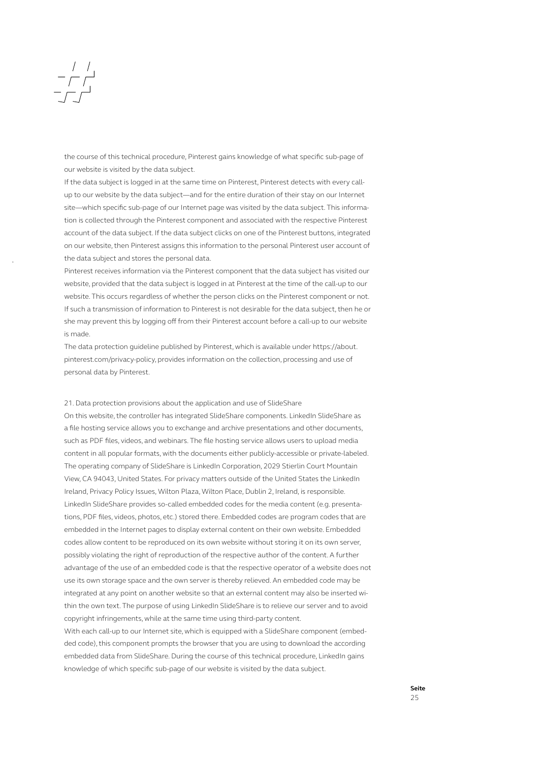### $\begin{array}{c|c} & / & / \\ \hline - & / \\ \hline \end{array}$

the course of this technical procedure, Pinterest gains knowledge of what specific sub-page of our website is visited by the data subject.

If the data subject is logged in at the same time on Pinterest, Pinterest detects with every callup to our website by the data subject—and for the entire duration of their stay on our Internet site—which specific sub-page of our Internet page was visited by the data subject. This information is collected through the Pinterest component and associated with the respective Pinterest account of the data subject. If the data subject clicks on one of the Pinterest buttons, integrated on our website, then Pinterest assigns this information to the personal Pinterest user account of the data subject and stores the personal data.

Pinterest receives information via the Pinterest component that the data subject has visited our website, provided that the data subject is logged in at Pinterest at the time of the call-up to our website. This occurs regardless of whether the person clicks on the Pinterest component or not. If such a transmission of information to Pinterest is not desirable for the data subject, then he or she may prevent this by logging off from their Pinterest account before a call-up to our website is made.

The data protection guideline published by Pinterest, which is available under https://about. pinterest.com/privacy-policy, provides information on the collection, processing and use of personal data by Pinterest.

21. Data protection provisions about the application and use of SlideShare

On this website, the controller has integrated SlideShare components. LinkedIn SlideShare as a file hosting service allows you to exchange and archive presentations and other documents, such as PDF files, videos, and webinars. The file hosting service allows users to upload media content in all popular formats, with the documents either publicly-accessible or private-labeled. The operating company of SlideShare is LinkedIn Corporation, 2029 Stierlin Court Mountain View, CA 94043, United States. For privacy matters outside of the United States the LinkedIn Ireland, Privacy Policy Issues, Wilton Plaza, Wilton Place, Dublin 2, Ireland, is responsible. LinkedIn SlideShare provides so-called embedded codes for the media content (e.g. presentations, PDF files, videos, photos, etc.) stored there. Embedded codes are program codes that are embedded in the Internet pages to display external content on their own website. Embedded codes allow content to be reproduced on its own website without storing it on its own server, possibly violating the right of reproduction of the respective author of the content. A further advantage of the use of an embedded code is that the respective operator of a website does not use its own storage space and the own server is thereby relieved. An embedded code may be integrated at any point on another website so that an external content may also be inserted within the own text. The purpose of using LinkedIn SlideShare is to relieve our server and to avoid copyright infringements, while at the same time using third-party content.

With each call-up to our Internet site, which is equipped with a SlideShare component (embedded code), this component prompts the browser that you are using to download the according embedded data from SlideShare. During the course of this technical procedure, LinkedIn gains knowledge of which specific sub-page of our website is visited by the data subject.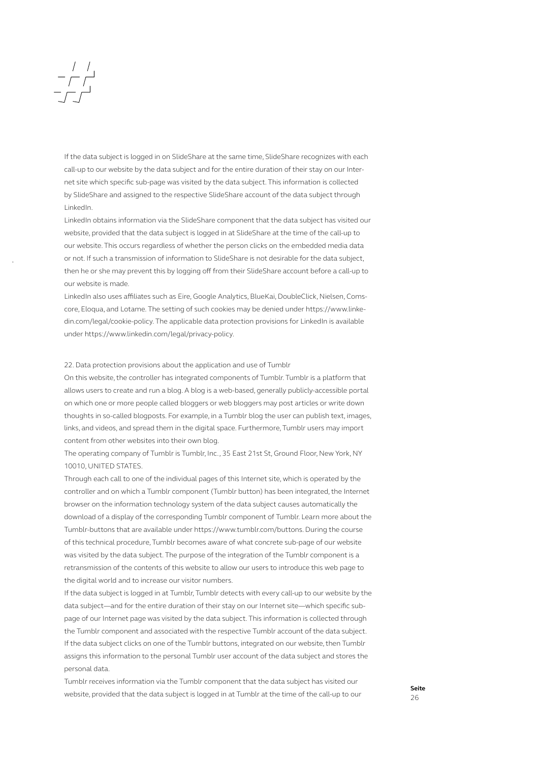### $\begin{array}{c|c} & / & / \\ - & / & / \\ - & / & \end{array}$

If the data subject is logged in on SlideShare at the same time, SlideShare recognizes with each call-up to our website by the data subject and for the entire duration of their stay on our Internet site which specific sub-page was visited by the data subject. This information is collected by SlideShare and assigned to the respective SlideShare account of the data subject through LinkedIn.

LinkedIn obtains information via the SlideShare component that the data subject has visited our website, provided that the data subject is logged in at SlideShare at the time of the call-up to our website. This occurs regardless of whether the person clicks on the embedded media data or not. If such a transmission of information to SlideShare is not desirable for the data subject, then he or she may prevent this by logging off from their SlideShare account before a call-up to our website is made.

LinkedIn also uses affiliates such as Eire, Google Analytics, BlueKai, DoubleClick, Nielsen, Comscore, Eloqua, and Lotame. The setting of such cookies may be denied under https://www.linkedin.com/legal/cookie-policy. The applicable data protection provisions for LinkedIn is available under https://www.linkedin.com/legal/privacy-policy.

### 22. Data protection provisions about the application and use of Tumblr

On this website, the controller has integrated components of Tumblr. Tumblr is a platform that allows users to create and run a blog. A blog is a web-based, generally publicly-accessible portal on which one or more people called bloggers or web bloggers may post articles or write down thoughts in so-called blogposts. For example, in a Tumblr blog the user can publish text, images, links, and videos, and spread them in the digital space. Furthermore, Tumblr users may import content from other websites into their own blog.

The operating company of Tumblr is Tumblr, Inc., 35 East 21st St, Ground Floor, New York, NY 10010, UNITED STATES.

Through each call to one of the individual pages of this Internet site, which is operated by the controller and on which a Tumblr component (Tumblr button) has been integrated, the Internet browser on the information technology system of the data subject causes automatically the download of a display of the corresponding Tumblr component of Tumblr. Learn more about the Tumblr-buttons that are available under https://www.tumblr.com/buttons. During the course of this technical procedure, Tumblr becomes aware of what concrete sub-page of our website was visited by the data subject. The purpose of the integration of the Tumblr component is a retransmission of the contents of this website to allow our users to introduce this web page to the digital world and to increase our visitor numbers.

If the data subject is logged in at Tumblr, Tumblr detects with every call-up to our website by the data subject—and for the entire duration of their stay on our Internet site—which specific subpage of our Internet page was visited by the data subject. This information is collected through the Tumblr component and associated with the respective Tumblr account of the data subject. If the data subject clicks on one of the Tumblr buttons, integrated on our website, then Tumblr assigns this information to the personal Tumblr user account of the data subject and stores the personal data.

Tumblr receives information via the Tumblr component that the data subject has visited our website, provided that the data subject is logged in at Tumblr at the time of the call-up to our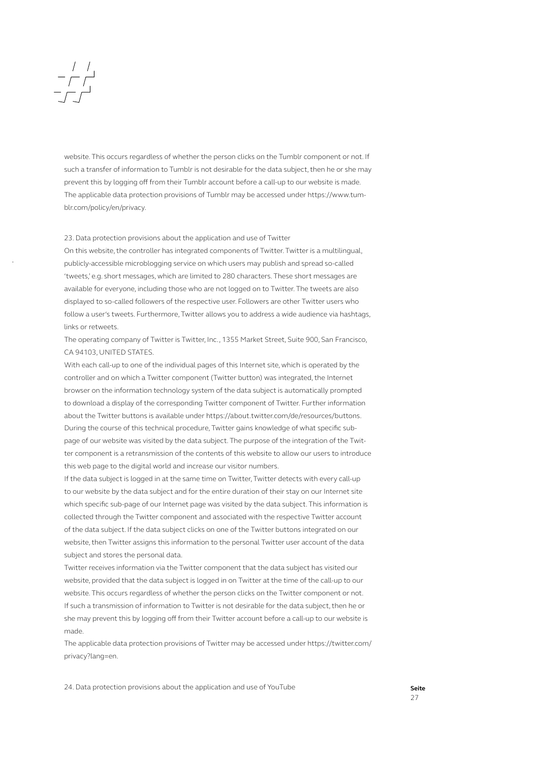### $\begin{array}{c|c} & / & / \\ - & / & \end{array}$

website. This occurs regardless of whether the person clicks on the Tumblr component or not. If such a transfer of information to Tumblr is not desirable for the data subject, then he or she may prevent this by logging off from their Tumblr account before a call-up to our website is made. The applicable data protection provisions of Tumblr may be accessed under https://www.tumblr.com/policy/en/privacy.

### 23. Data protection provisions about the application and use of Twitter

On this website, the controller has integrated components of Twitter. Twitter is a multilingual, publicly-accessible microblogging service on which users may publish and spread so-called 'tweets,' e.g. short messages, which are limited to 280 characters. These short messages are available for everyone, including those who are not logged on to Twitter. The tweets are also displayed to so-called followers of the respective user. Followers are other Twitter users who follow a user's tweets. Furthermore, Twitter allows you to address a wide audience via hashtags, links or retweets.

The operating company of Twitter is Twitter, Inc., 1355 Market Street, Suite 900, San Francisco, CA 94103, UNITED STATES.

With each call-up to one of the individual pages of this Internet site, which is operated by the controller and on which a Twitter component (Twitter button) was integrated, the Internet browser on the information technology system of the data subject is automatically prompted to download a display of the corresponding Twitter component of Twitter. Further information about the Twitter buttons is available under https://about.twitter.com/de/resources/buttons. During the course of this technical procedure, Twitter gains knowledge of what specific subpage of our website was visited by the data subject. The purpose of the integration of the Twitter component is a retransmission of the contents of this website to allow our users to introduce this web page to the digital world and increase our visitor numbers.

If the data subject is logged in at the same time on Twitter, Twitter detects with every call-up to our website by the data subject and for the entire duration of their stay on our Internet site which specific sub-page of our Internet page was visited by the data subject. This information is collected through the Twitter component and associated with the respective Twitter account of the data subject. If the data subject clicks on one of the Twitter buttons integrated on our website, then Twitter assigns this information to the personal Twitter user account of the data subject and stores the personal data.

Twitter receives information via the Twitter component that the data subject has visited our website, provided that the data subject is logged in on Twitter at the time of the call-up to our website. This occurs regardless of whether the person clicks on the Twitter component or not. If such a transmission of information to Twitter is not desirable for the data subject, then he or she may prevent this by logging off from their Twitter account before a call-up to our website is made.

The applicable data protection provisions of Twitter may be accessed under https://twitter.com/ privacy?lang=en.

24. Data protection provisions about the application and use of YouTube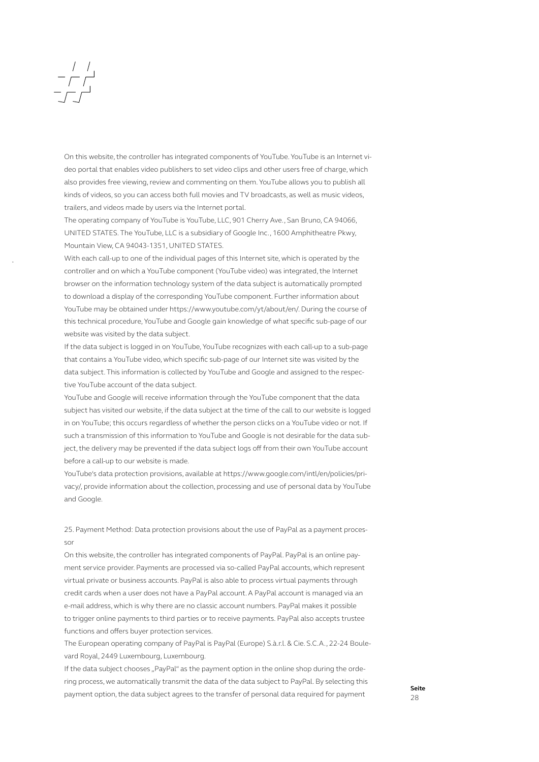## $\begin{array}{c|c} & / & / \\ \hline - & / \\ \hline \end{array}$

On this website, the controller has integrated components of YouTube. YouTube is an Internet video portal that enables video publishers to set video clips and other users free of charge, which also provides free viewing, review and commenting on them. YouTube allows you to publish all kinds of videos, so you can access both full movies and TV broadcasts, as well as music videos, trailers, and videos made by users via the Internet portal.

The operating company of YouTube is YouTube, LLC, 901 Cherry Ave., San Bruno, CA 94066, UNITED STATES. The YouTube, LLC is a subsidiary of Google Inc., 1600 Amphitheatre Pkwy, Mountain View, CA 94043-1351, UNITED STATES.

With each call-up to one of the individual pages of this Internet site, which is operated by the controller and on which a YouTube component (YouTube video) was integrated, the Internet browser on the information technology system of the data subject is automatically prompted to download a display of the corresponding YouTube component. Further information about YouTube may be obtained under https://www.youtube.com/yt/about/en/. During the course of this technical procedure, YouTube and Google gain knowledge of what specific sub-page of our website was visited by the data subject.

If the data subject is logged in on YouTube, YouTube recognizes with each call-up to a sub-page that contains a YouTube video, which specific sub-page of our Internet site was visited by the data subject. This information is collected by YouTube and Google and assigned to the respective YouTube account of the data subject.

YouTube and Google will receive information through the YouTube component that the data subject has visited our website, if the data subject at the time of the call to our website is logged in on YouTube; this occurs regardless of whether the person clicks on a YouTube video or not. If such a transmission of this information to YouTube and Google is not desirable for the data subject, the delivery may be prevented if the data subject logs off from their own YouTube account before a call-up to our website is made.

YouTube's data protection provisions, available at https://www.google.com/intl/en/policies/privacy/, provide information about the collection, processing and use of personal data by YouTube and Google.

25. Payment Method: Data protection provisions about the use of PayPal as a payment processor

On this website, the controller has integrated components of PayPal. PayPal is an online payment service provider. Payments are processed via so-called PayPal accounts, which represent virtual private or business accounts. PayPal is also able to process virtual payments through credit cards when a user does not have a PayPal account. A PayPal account is managed via an e-mail address, which is why there are no classic account numbers. PayPal makes it possible to trigger online payments to third parties or to receive payments. PayPal also accepts trustee functions and offers buyer protection services.

The European operating company of PayPal is PayPal (Europe) S.à.r.l. & Cie. S.C.A., 22-24 Boulevard Royal, 2449 Luxembourg, Luxembourg.

If the data subject chooses "PayPal" as the payment option in the online shop during the ordering process, we automatically transmit the data of the data subject to PayPal. By selecting this payment option, the data subject agrees to the transfer of personal data required for payment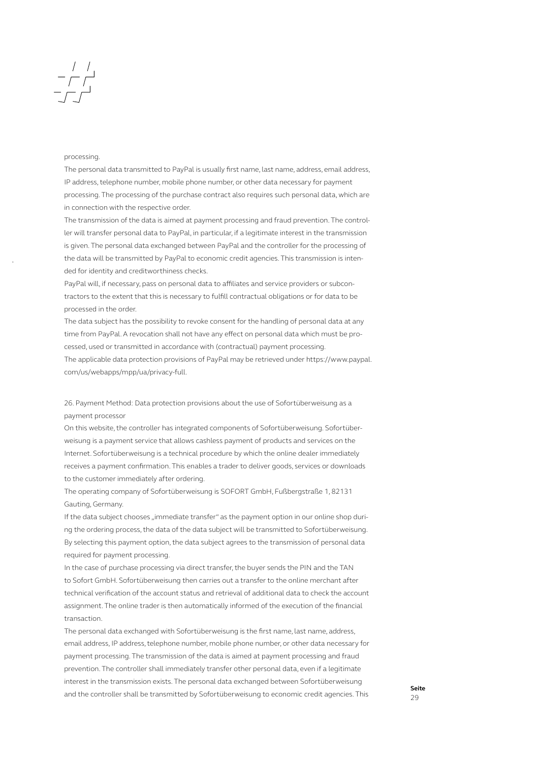# $\begin{array}{c|c} & / & / \\ \hline & - & / \\ \hline & - & / \\ \hline \end{array}$

### processing.

The personal data transmitted to PayPal is usually first name, last name, address, email address, IP address, telephone number, mobile phone number, or other data necessary for payment processing. The processing of the purchase contract also requires such personal data, which are in connection with the respective order.

The transmission of the data is aimed at payment processing and fraud prevention. The controller will transfer personal data to PayPal, in particular, if a legitimate interest in the transmission is given. The personal data exchanged between PayPal and the controller for the processing of the data will be transmitted by PayPal to economic credit agencies. This transmission is intended for identity and creditworthiness checks.

PayPal will, if necessary, pass on personal data to affiliates and service providers or subcontractors to the extent that this is necessary to fulfill contractual obligations or for data to be processed in the order.

The data subject has the possibility to revoke consent for the handling of personal data at any time from PayPal. A revocation shall not have any effect on personal data which must be processed, used or transmitted in accordance with (contractual) payment processing. The applicable data protection provisions of PayPal may be retrieved under https://www.paypal. com/us/webapps/mpp/ua/privacy-full.

26. Payment Method: Data protection provisions about the use of Sofortüberweisung as a payment processor

On this website, the controller has integrated components of Sofortüberweisung. Sofortüberweisung is a payment service that allows cashless payment of products and services on the Internet. Sofortüberweisung is a technical procedure by which the online dealer immediately receives a payment confirmation. This enables a trader to deliver goods, services or downloads to the customer immediately after ordering.

The operating company of Sofortüberweisung is SOFORT GmbH, Fußbergstraße 1, 82131 Gauting, Germany.

If the data subject chooses "immediate transfer" as the payment option in our online shop during the ordering process, the data of the data subject will be transmitted to Sofortüberweisung. By selecting this payment option, the data subject agrees to the transmission of personal data required for payment processing.

In the case of purchase processing via direct transfer, the buyer sends the PIN and the TAN to Sofort GmbH. Sofortüberweisung then carries out a transfer to the online merchant after technical verification of the account status and retrieval of additional data to check the account assignment. The online trader is then automatically informed of the execution of the financial transaction.

The personal data exchanged with Sofortüberweisung is the first name, last name, address, email address, IP address, telephone number, mobile phone number, or other data necessary for payment processing. The transmission of the data is aimed at payment processing and fraud prevention. The controller shall immediately transfer other personal data, even if a legitimate interest in the transmission exists. The personal data exchanged between Sofortüberweisung and the controller shall be transmitted by Sofortüberweisung to economic credit agencies. This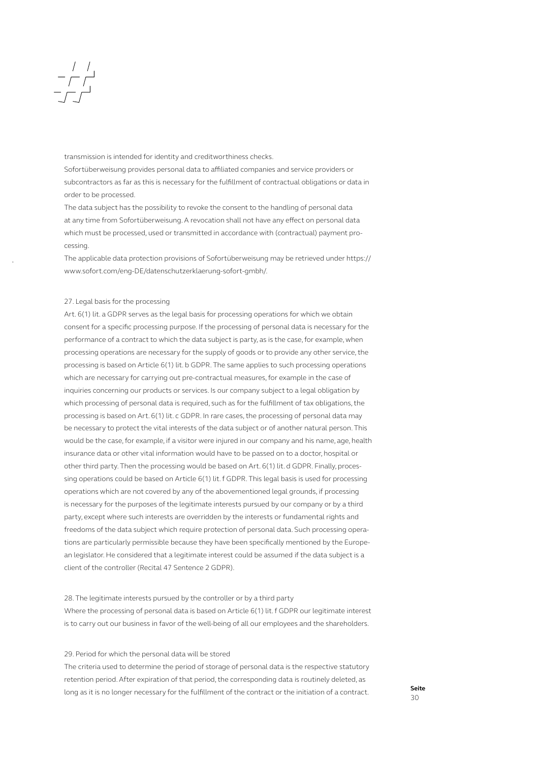## $\begin{array}{c|c} & / & / \\ \hline & / & / \\ \hline & / & \end{array}$

transmission is intended for identity and creditworthiness checks.

Sofortüberweisung provides personal data to affiliated companies and service providers or subcontractors as far as this is necessary for the fulfillment of contractual obligations or data in order to be processed.

The data subject has the possibility to revoke the consent to the handling of personal data at any time from Sofortüberweisung. A revocation shall not have any effect on personal data which must be processed, used or transmitted in accordance with (contractual) payment processing.

The applicable data protection provisions of Sofortüberweisung may be retrieved under https:// www.sofort.com/eng-DE/datenschutzerklaerung-sofort-gmbh/.

### 27. Legal basis for the processing

Art. 6(1) lit. a GDPR serves as the legal basis for processing operations for which we obtain consent for a specific processing purpose. If the processing of personal data is necessary for the performance of a contract to which the data subject is party, as is the case, for example, when processing operations are necessary for the supply of goods or to provide any other service, the processing is based on Article 6(1) lit. b GDPR. The same applies to such processing operations which are necessary for carrying out pre-contractual measures, for example in the case of inquiries concerning our products or services. Is our company subject to a legal obligation by which processing of personal data is required, such as for the fulfillment of tax obligations, the processing is based on Art. 6(1) lit. c GDPR. In rare cases, the processing of personal data may be necessary to protect the vital interests of the data subject or of another natural person. This would be the case, for example, if a visitor were injured in our company and his name, age, health insurance data or other vital information would have to be passed on to a doctor, hospital or other third party. Then the processing would be based on Art. 6(1) lit. d GDPR. Finally, processing operations could be based on Article 6(1) lit. f GDPR. This legal basis is used for processing operations which are not covered by any of the abovementioned legal grounds, if processing is necessary for the purposes of the legitimate interests pursued by our company or by a third party, except where such interests are overridden by the interests or fundamental rights and freedoms of the data subject which require protection of personal data. Such processing operations are particularly permissible because they have been specifically mentioned by the European legislator. He considered that a legitimate interest could be assumed if the data subject is a client of the controller (Recital 47 Sentence 2 GDPR).

### 28. The legitimate interests pursued by the controller or by a third party

Where the processing of personal data is based on Article 6(1) lit. f GDPR our legitimate interest is to carry out our business in favor of the well-being of all our employees and the shareholders.

### 29. Period for which the personal data will be stored

The criteria used to determine the period of storage of personal data is the respective statutory retention period. After expiration of that period, the corresponding data is routinely deleted, as long as it is no longer necessary for the fulfillment of the contract or the initiation of a contract.